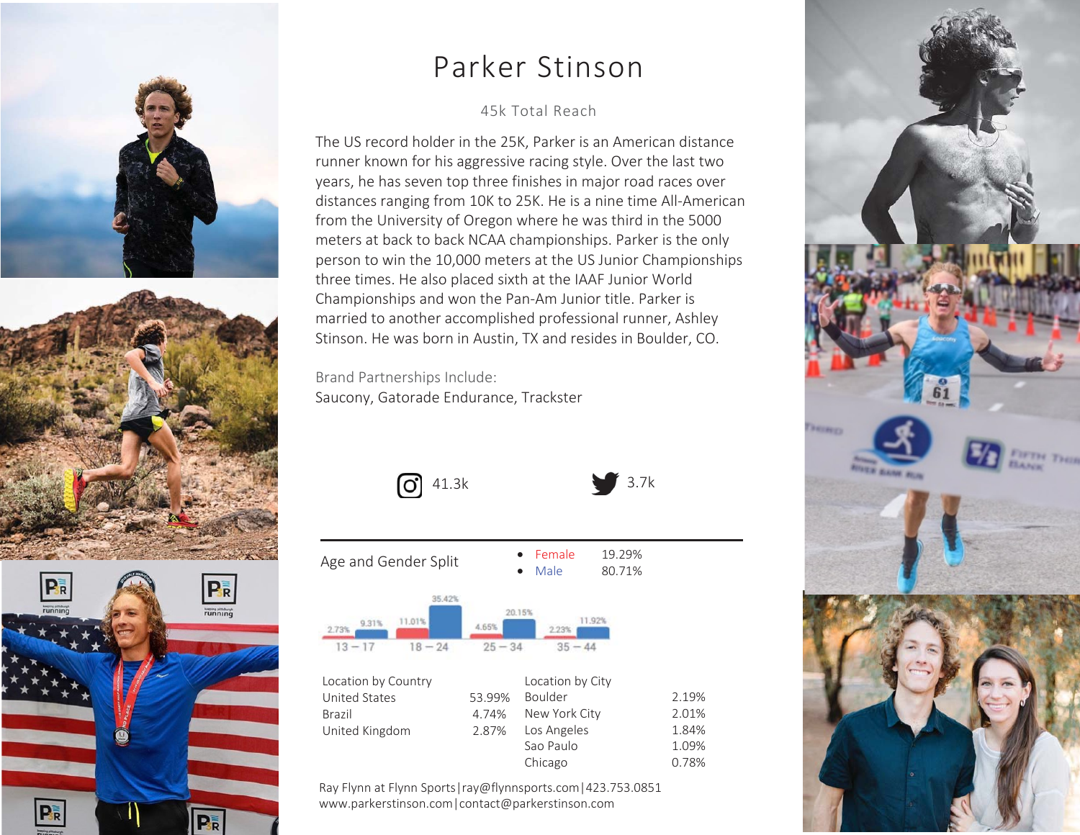

## Parker Stinson

#### 46k Total Reach

The US record holder in the 25K, Parker is an American distance runner known for his aggressive racing style. Over the last two years, he has seven top three finishes in major road races over distances ranging from 10K to 25K. He is a nine time All-American from the University of Oregon where he was third in the 5000 meters at back to back NCAA championships. Parker is the only person to win the 10,000 meters at the US Junior Championships three times. He also placed sixth at the IAAF Junior World Championships and won the Pan-Am Junior title. Parker is married to another accomplished professional runner, Ashley Stinson. He was born in Austin, TX and resides in Boulder, CO.

3.7k

Brand Partnerships Include:Saucony, Gatorade Endurance, Trackster





| Age and Gender Split                                         |                    | Female<br>Male                         | 19.29%<br>80.71% |       |
|--------------------------------------------------------------|--------------------|----------------------------------------|------------------|-------|
| 35.42%<br>11.01%<br>9.31%<br>2.73%<br>$18 - 24$<br>$13 - 17$ | 4.65%<br>$25 - 34$ | 20.15%<br>11.92%<br>2.23%<br>$35 - 44$ |                  |       |
| Location by Country                                          |                    | Location by City                       |                  |       |
| United States                                                | 53.99%             | Boulder                                |                  | 2.19% |
| <b>Brazil</b>                                                | 4.74%              | New York City                          |                  | 2.01% |
| United Kingdom                                               | 2.87%              | Los Angeles                            |                  | 1.84% |
|                                                              |                    | Sao Paulo                              |                  | 1.09% |
|                                                              |                    | Chicago                                |                  | 0.78% |
|                                                              |                    |                                        |                  |       |

Ray Flynn at Flynn Sports|ray@flynnsports.com|423.753.0851www.parkerstinson.com|contact@parkerstinson.com

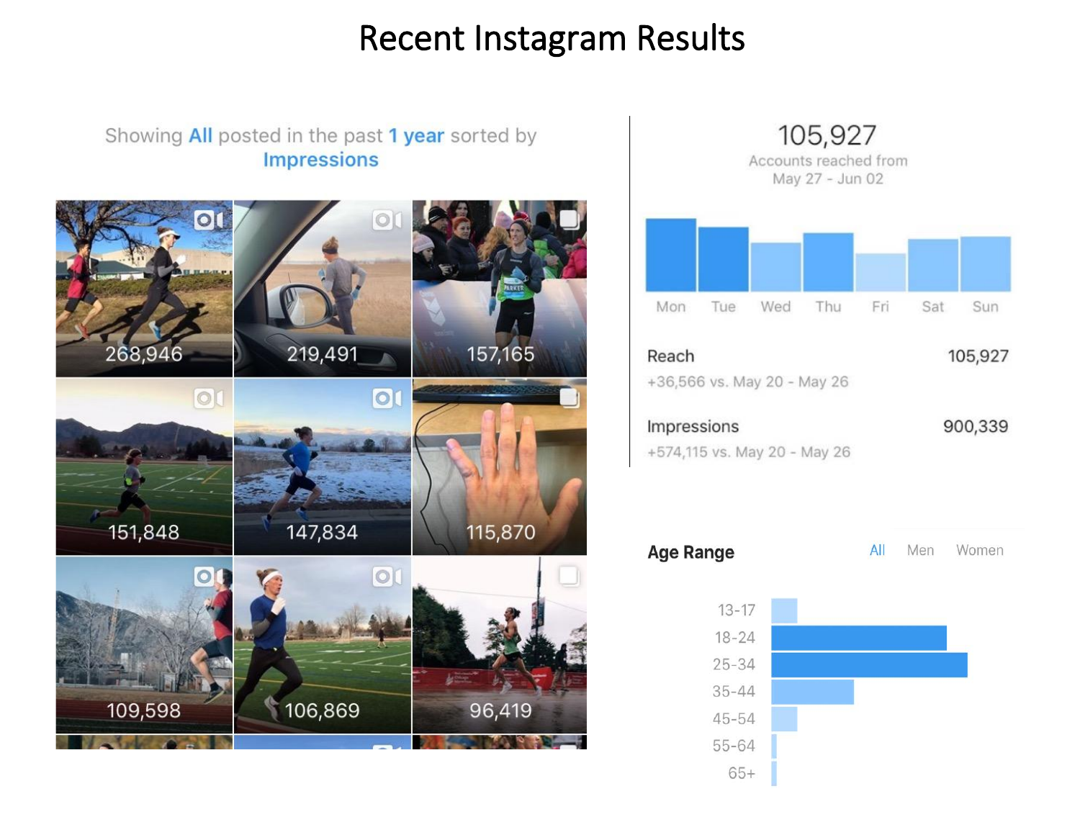## Recent Instagram Results

#### Showing All posted in the past 1 year sorted by **Impressions**